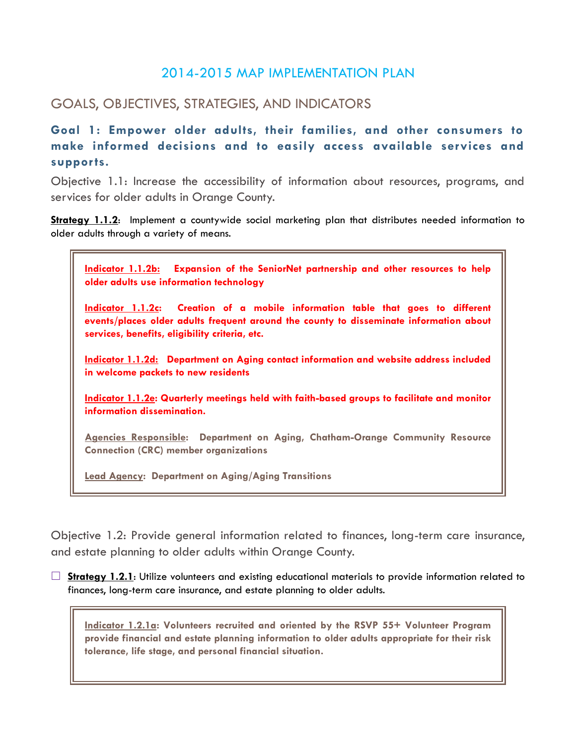# 2014-2015 MAP IMPLEMENTATION PLAN

# GOALS, OBJECTIVES, STRATEGIES, AND INDICATORS

**Goal 1: Empower older adults, their families, and other consumers to make informed decisions and to easily access available services and supports.** 

Objective 1.1: Increase the accessibility of information about resources, programs, and services for older adults in Orange County.

**Strategy 1.1.2**: Implement a countywide social marketing plan that distributes needed information to older adults through a variety of means.



Objective 1.2: Provide general information related to finances, long-term care insurance, and estate planning to older adults within Orange County.

**Strategy 1.2.1:** Utilize volunteers and existing educational materials to provide information related to finances, long-term care insurance, and estate planning to older adults.

**Indicator 1.2.1a: Volunteers recruited and oriented by the RSVP 55+ Volunteer Program provide financial and estate planning information to older adults appropriate for their risk tolerance, life stage, and personal financial situation.**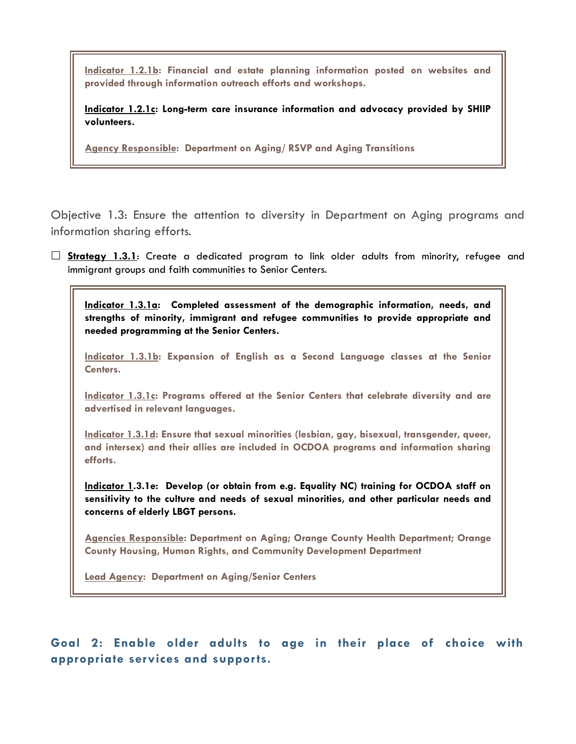**Indicator 1.2.1b: Financial and estate planning information posted on websites and provided through information outreach efforts and workshops.**

**Indicator 1.2.1c: Long-term care insurance information and advocacy provided by SHIIP volunteers.**

**Agency Responsible: Department on Aging/ RSVP and Aging Transitions**

Objective 1.3: Ensure the attention to diversity in Department on Aging programs and information sharing efforts.

 **Strategy 1.3.1**: Create a dedicated program to link older adults from minority, refugee and immigrant groups and faith communities to Senior Centers.

**Indicator 1.3.1a: Completed assessment of the demographic information, needs, and strengths of minority, immigrant and refugee communities to provide appropriate and needed programming at the Senior Centers.**

**Indicator 1.3.1b: Expansion of English as a Second Language classes at the Senior Centers.**

**Indicator 1.3.1c: Programs offered at the Senior Centers that celebrate diversity and are advertised in relevant languages.**

**Indicator 1.3.1d: Ensure that sexual minorities (lesbian, gay, bisexual, transgender, queer, and intersex) and their allies are included in OCDOA programs and information sharing efforts.**

**Indicator 1.3.1e: Develop (or obtain from e.g. Equality NC) training for OCDOA staff on sensitivity to the culture and needs of sexual minorities, and other particular needs and concerns of elderly LBGT persons.**

**Agencies Responsible: Department on Aging; Orange County Health Department; Orange County Housing, Human Rights, and Community Development Department**

**Lead Agency: Department on Aging/Senior Centers**

**Goal 2: Enable older adults to age in their place of choice with appropriate services and supports.**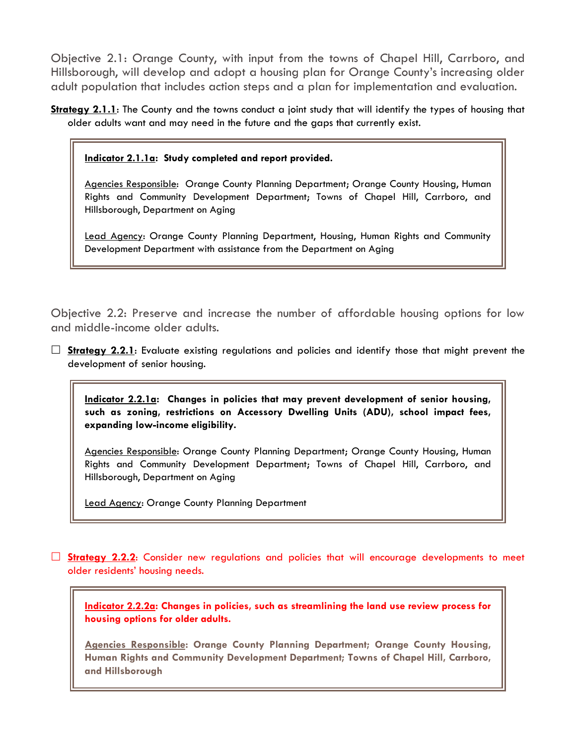Objective 2.1: Orange County, with input from the towns of Chapel Hill, Carrboro, and Hillsborough, will develop and adopt a housing plan for Orange County's increasing older adult population that includes action steps and a plan for implementation and evaluation.

**Strategy 2.1.1**: The County and the towns conduct a joint study that will identify the types of housing that older adults want and may need in the future and the gaps that currently exist.

**Indicator 2.1.1a: Study completed and report provided.**

Agencies Responsible: Orange County Planning Department; Orange County Housing, Human Rights and Community Development Department; Towns of Chapel Hill, Carrboro, and Hillsborough, Department on Aging

Lead Agency: Orange County Planning Department, Housing, Human Rights and Community Development Department with assistance from the Department on Aging

Objective 2.2: Preserve and increase the number of affordable housing options for low and middle-income older adults.

 $\Box$  **Strategy 2.2.1**: Evaluate existing regulations and policies and identify those that might prevent the development of senior housing.

**Indicator 2.2.1a: Changes in policies that may prevent development of senior housing, such as zoning, restrictions on Accessory Dwelling Units (ADU), school impact fees, expanding low-income eligibility.**

Agencies Responsible: Orange County Planning Department; Orange County Housing, Human Rights and Community Development Department; Towns of Chapel Hill, Carrboro, and Hillsborough, Department on Aging

Lead Agency: Orange County Planning Department

 **Strategy 2.2.2**: Consider new regulations and policies that will encourage developments to meet older residents' housing needs.

**Indicator 2.2.2a: Changes in policies, such as streamlining the land use review process for housing options for older adults.**

**Agencies Responsible: Orange County Planning Department; Orange County Housing, Human Rights and Community Development Department; Towns of Chapel Hill, Carrboro, and Hillsborough**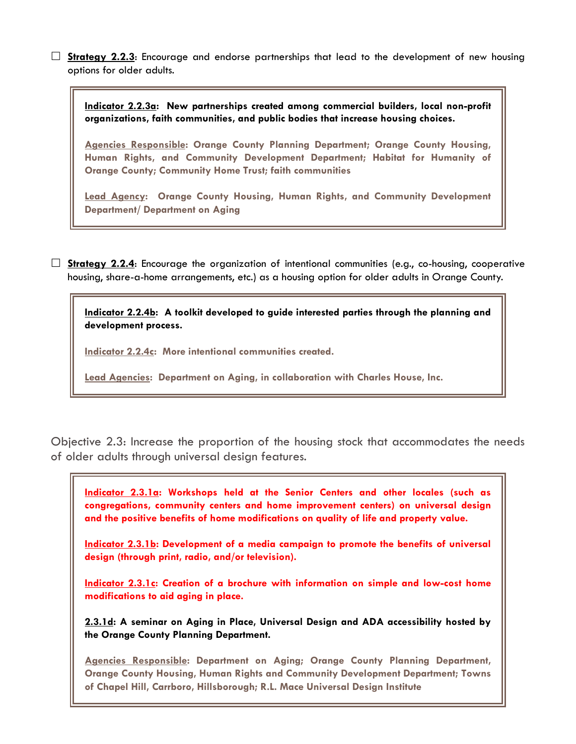□ **Strategy 2.2.3**: Encourage and endorse partnerships that lead to the development of new housing options for older adults.

**Indicator 2.2.3a: New partnerships created among commercial builders, local non-profit organizations, faith communities, and public bodies that increase housing choices.**

**Agencies Responsible: Orange County Planning Department; Orange County Housing, Human Rights, and Community Development Department; Habitat for Humanity of Orange County; Community Home Trust; faith communities**

**Lead Agency: Orange County Housing, Human Rights, and Community Development Department/ Department on Aging**

 **Strategy 2.2.4**: Encourage the organization of intentional communities (e.g., co-housing, cooperative housing, share-a-home arrangements, etc.) as a housing option for older adults in Orange County.

**Indicator 2.2.4b: A toolkit developed to guide interested parties through the planning and development process.**

**Indicator 2.2.4c: More intentional communities created.**

**Lead Agencies: Department on Aging, in collaboration with Charles House, Inc.**

Objective 2.3: Increase the proportion of the housing stock that accommodates the needs of older adults through universal design features.

**Indicator 2.3.1a: Workshops held at the Senior Centers and other locales (such as congregations, community centers and home improvement centers) on universal design and the positive benefits of home modifications on quality of life and property value.**

**Indicator 2.3.1b: Development of a media campaign to promote the benefits of universal design (through print, radio, and/or television).**

**Indicator 2.3.1c: Creation of a brochure with information on simple and low-cost home modifications to aid aging in place.**

**2.3.1d: A seminar on Aging in Place, Universal Design and ADA accessibility hosted by the Orange County Planning Department.** 

**Agencies Responsible: Department on Aging; Orange County Planning Department, Orange County Housing, Human Rights and Community Development Department; Towns of Chapel Hill, Carrboro, Hillsborough; R.L. Mace Universal Design Institute**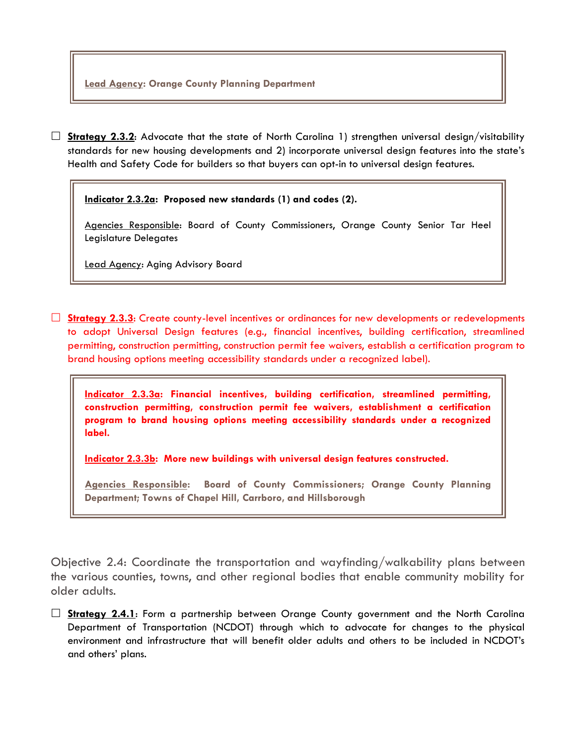**Lead Agency: Orange County Planning Department**

**Strategy 2.3.2:** Advocate that the state of North Carolina 1) strengthen universal design/visitability standards for new housing developments and 2) incorporate universal design features into the state's Health and Safety Code for builders so that buyers can opt-in to universal design features.

**Indicator 2.3.2a: Proposed new standards (1) and codes (2).**

Agencies Responsible: Board of County Commissioners, Orange County Senior Tar Heel Legislature Delegates

Lead Agency: Aging Advisory Board

□ **Strategy 2.3.3**: Create county-level incentives or ordinances for new developments or redevelopments to adopt Universal Design features (e.g., financial incentives, building certification, streamlined permitting, construction permitting, construction permit fee waivers, establish a certification program to brand housing options meeting accessibility standards under a recognized label).

**Indicator 2.3.3a: Financial incentives, building certification, streamlined permitting, construction permitting, construction permit fee waivers, establishment a certification program to brand housing options meeting accessibility standards under a recognized label.**

**Indicator 2.3.3b: More new buildings with universal design features constructed.**

**Agencies Responsible: Board of County Commissioners; Orange County Planning Department; Towns of Chapel Hill, Carrboro, and Hillsborough**

Objective 2.4: Coordinate the transportation and wayfinding/walkability plans between the various counties, towns, and other regional bodies that enable community mobility for older adults.

 **Strategy 2.4.1**: Form a partnership between Orange County government and the North Carolina Department of Transportation (NCDOT) through which to advocate for changes to the physical environment and infrastructure that will benefit older adults and others to be included in NCDOT's and others' plans.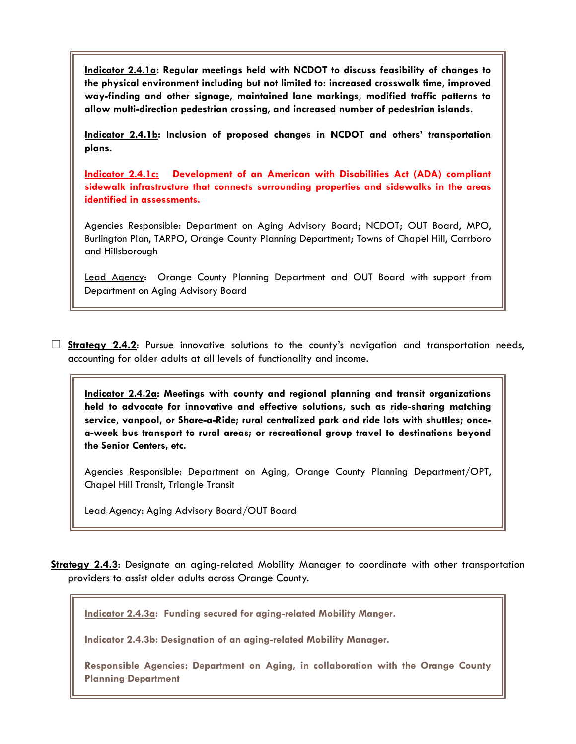**Indicator 2.4.1a: Regular meetings held with NCDOT to discuss feasibility of changes to the physical environment including but not limited to: increased crosswalk time, improved way-finding and other signage, maintained lane markings, modified traffic patterns to allow multi-direction pedestrian crossing, and increased number of pedestrian islands.** 

**Indicator 2.4.1b: Inclusion of proposed changes in NCDOT and others' transportation plans.** 

**Indicator 2.4.1c: Development of an American with Disabilities Act (ADA) compliant sidewalk infrastructure that connects surrounding properties and sidewalks in the areas identified in assessments.** 

Agencies Responsible: Department on Aging Advisory Board; NCDOT; OUT Board, MPO, Burlington Plan, TARPO, Orange County Planning Department; Towns of Chapel Hill, Carrboro and Hillsborough

Lead Agency: Orange County Planning Department and OUT Board with support from Department on Aging Advisory Board

**Strategy 2.4.2:** Pursue innovative solutions to the county's navigation and transportation needs, accounting for older adults at all levels of functionality and income.

**Indicator 2.4.2a: Meetings with county and regional planning and transit organizations held to advocate for innovative and effective solutions, such as ride-sharing matching service, vanpool, or Share-a-Ride; rural centralized park and ride lots with shuttles; oncea-week bus transport to rural areas; or recreational group travel to destinations beyond the Senior Centers, etc.**

Agencies Responsible: Department on Aging, Orange County Planning Department/OPT, Chapel Hill Transit, Triangle Transit

Lead Agency: Aging Advisory Board/OUT Board

**Strategy 2.4.3**: Designate an aging-related Mobility Manager to coordinate with other transportation providers to assist older adults across Orange County.

**Indicator 2.4.3a: Funding secured for aging-related Mobility Manger.**

**Indicator 2.4.3b: Designation of an aging-related Mobility Manager.** 

**Responsible Agencies: Department on Aging, in collaboration with the Orange County Planning Department**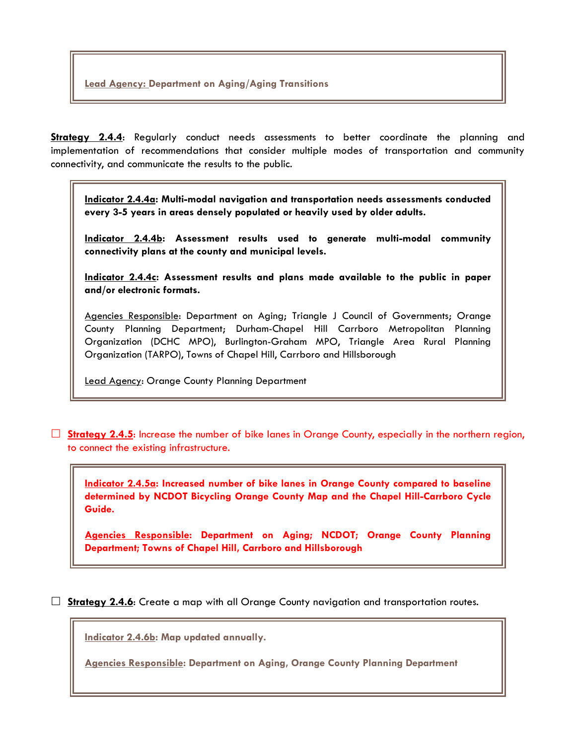**Strategy 2.4.4:** Regularly conduct needs assessments to better coordinate the planning and implementation of recommendations that consider multiple modes of transportation and community connectivity, and communicate the results to the public.

**Indicator 2.4.4a: Multi-modal navigation and transportation needs assessments conducted every 3-5 years in areas densely populated or heavily used by older adults.**

**Indicator 2.4.4b: Assessment results used to generate multi-modal community connectivity plans at the county and municipal levels.**

**Indicator 2.4.4c: Assessment results and plans made available to the public in paper and/or electronic formats.** 

Agencies Responsible: Department on Aging; Triangle J Council of Governments; Orange County Planning Department; Durham-Chapel Hill Carrboro Metropolitan Planning Organization (DCHC MPO), Burlington-Graham MPO, Triangle Area Rural Planning Organization (TARPO), Towns of Chapel Hill, Carrboro and Hillsborough

Lead Agency: Orange County Planning Department

**Strategy 2.4.5**: Increase the number of bike lanes in Orange County, especially in the northern region, to connect the existing infrastructure.

**Indicator 2.4.5a: Increased number of bike lanes in Orange County compared to baseline determined by NCDOT Bicycling Orange County Map and the Chapel Hill-Carrboro Cycle Guide.**

**Agencies Responsible: Department on Aging; NCDOT; Orange County Planning Department; Towns of Chapel Hill, Carrboro and Hillsborough**

**Strategy 2.4.6**: Create a map with all Orange County navigation and transportation routes.

**Indicator 2.4.6b: Map updated annually.** 

**Agencies Responsible: Department on Aging, Orange County Planning Department**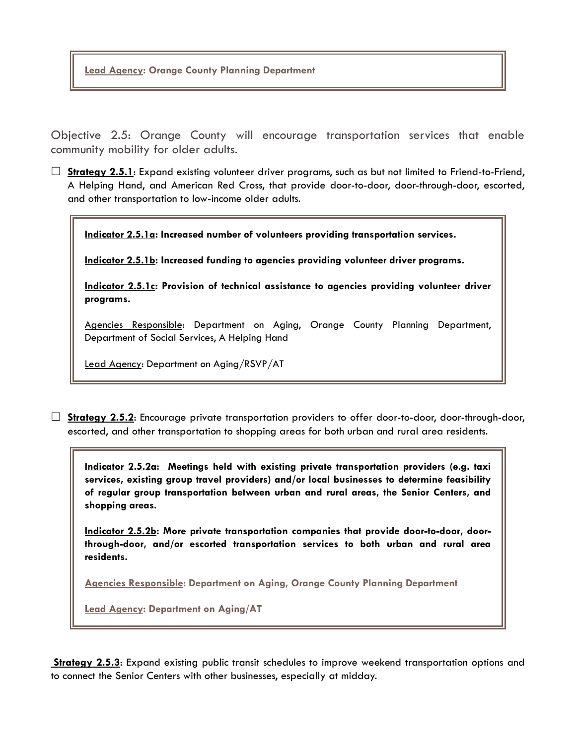**Lead Agency: Orange County Planning Department**

Objective 2.5: Orange County will encourage transportation services that enable community mobility for older adults.

□ **Strategy 2.5.1**: Expand existing volunteer driver programs, such as but not limited to Friend-to-Friend, A Helping Hand, and American Red Cross, that provide door-to-door, door-through-door, escorted, and other transportation to low-income older adults.

**Indicator 2.5.1a: Increased number of volunteers providing transportation services.**

**Indicator 2.5.1b: Increased funding to agencies providing volunteer driver programs.**

**Indicator 2.5.1c: Provision of technical assistance to agencies providing volunteer driver programs.**

Agencies Responsible: Department on Aging, Orange County Planning Department, Department of Social Services, A Helping Hand

Lead Agency: Department on Aging/RSVP/AT

 **Strategy 2.5.2**: Encourage private transportation providers to offer door-to-door, door-through-door, escorted, and other transportation to shopping areas for both urban and rural area residents.

**Indicator 2.5.2a: Meetings held with existing private transportation providers (e.g. taxi services, existing group travel providers) and/or local businesses to determine feasibility of regular group transportation between urban and rural areas, the Senior Centers, and shopping areas.**

**Indicator 2.5.2b: More private transportation companies that provide door-to-door, doorthrough-door, and/or escorted transportation services to both urban and rural area residents.** 

**Agencies Responsible: Department on Aging, Orange County Planning Department**

**Lead Agency: Department on Aging/AT**

**Strategy 2.5.3**: Expand existing public transit schedules to improve weekend transportation options and to connect the Senior Centers with other businesses, especially at midday.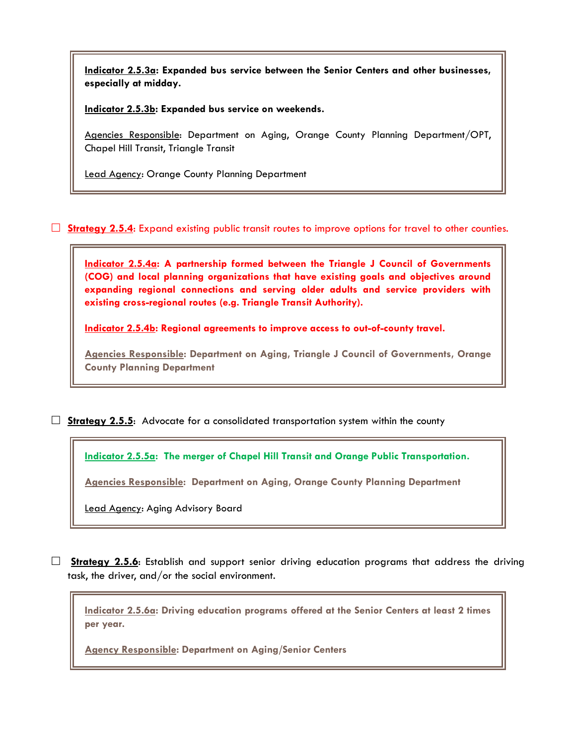**Indicator 2.5.3a: Expanded bus service between the Senior Centers and other businesses, especially at midday.**

**Indicator 2.5.3b: Expanded bus service on weekends.**

Agencies Responsible: Department on Aging, Orange County Planning Department/OPT, Chapel Hill Transit, Triangle Transit

Lead Agency: Orange County Planning Department

□ **Strategy 2.5.4**: Expand existing public transit routes to improve options for travel to other counties.

**Indicator 2.5.4a: A partnership formed between the Triangle J Council of Governments (COG) and local planning organizations that have existing goals and objectives around expanding regional connections and serving older adults and service providers with existing cross-regional routes (e.g. Triangle Transit Authority).** 

**Indicator 2.5.4b: Regional agreements to improve access to out-of-county travel.** 

**Agencies Responsible: Department on Aging, Triangle J Council of Governments, Orange County Planning Department**

**Strategy 2.5.5**: Advocate for a consolidated transportation system within the county

**Indicator 2.5.5a: The merger of Chapel Hill Transit and Orange Public Transportation.**

**Agencies Responsible: Department on Aging, Orange County Planning Department**

Lead Agency: Aging Advisory Board

 **Strategy 2.5.6**: Establish and support senior driving education programs that address the driving task, the driver, and/or the social environment.

**Indicator 2.5.6a: Driving education programs offered at the Senior Centers at least 2 times per year.**

**Agency Responsible: Department on Aging/Senior Centers**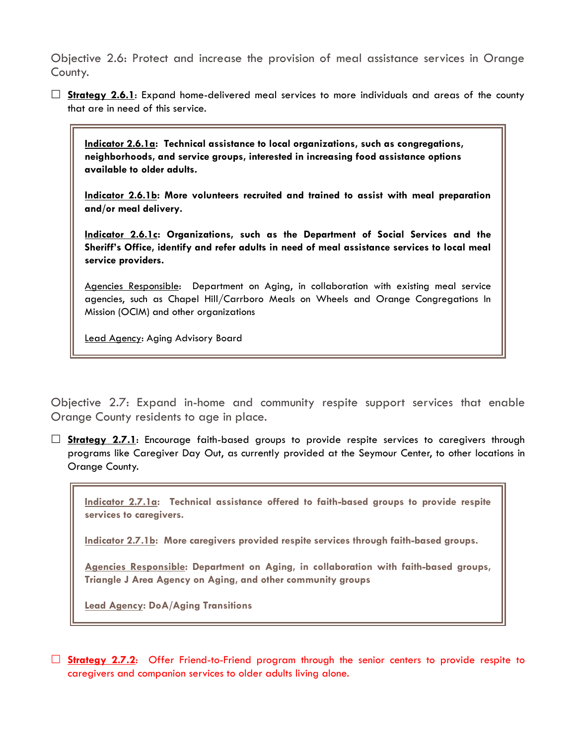Objective 2.6: Protect and increase the provision of meal assistance services in Orange County.

 **Strategy 2.6.1**: Expand home-delivered meal services to more individuals and areas of the county that are in need of this service.

**Indicator 2.6.1a: Technical assistance to local organizations, such as congregations, neighborhoods, and service groups, interested in increasing food assistance options available to older adults.**

**Indicator 2.6.1b: More volunteers recruited and trained to assist with meal preparation and/or meal delivery.**

**Indicator 2.6.1c: Organizations, such as the Department of Social Services and the Sheriff's Office, identify and refer adults in need of meal assistance services to local meal service providers.** 

Agencies Responsible: Department on Aging, in collaboration with existing meal service agencies, such as Chapel Hill/Carrboro Meals on Wheels and Orange Congregations In Mission (OCIM) and other organizations

Lead Agency: Aging Advisory Board

Objective 2.7: Expand in-home and community respite support services that enable Orange County residents to age in place.

 **Strategy 2.7.1**: Encourage faith-based groups to provide respite services to caregivers through programs like Caregiver Day Out, as currently provided at the Seymour Center, to other locations in Orange County.

**Indicator 2.7.1a: Technical assistance offered to faith-based groups to provide respite services to caregivers.**

**Indicator 2.7.1b: More caregivers provided respite services through faith-based groups.**

**Agencies Responsible: Department on Aging, in collaboration with faith-based groups, Triangle J Area Agency on Aging, and other community groups**

**Lead Agency: DoA/Aging Transitions**

□ **Strategy 2.7.2**: Offer Friend-to-Friend program through the senior centers to provide respite to caregivers and companion services to older adults living alone.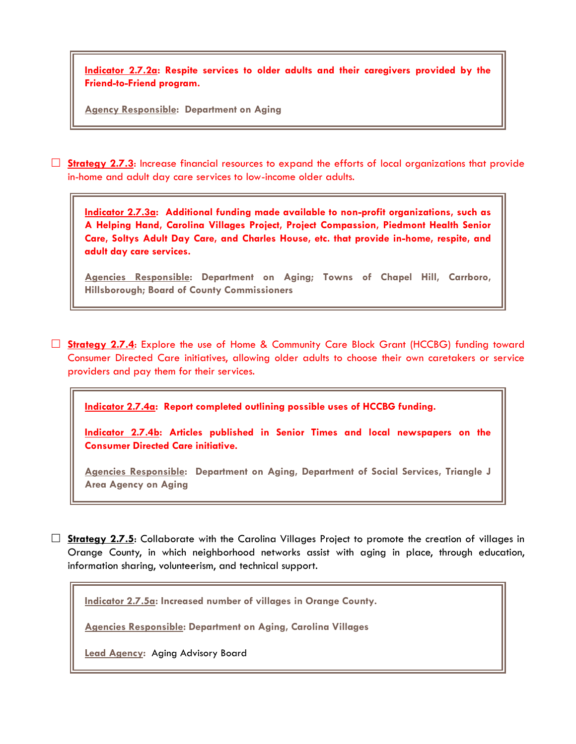**Indicator 2.7.2a: Respite services to older adults and their caregivers provided by the Friend-to-Friend program.** 

**Agency Responsible: Department on Aging**

 **Strategy 2.7.3**: Increase financial resources to expand the efforts of local organizations that provide in-home and adult day care services to low-income older adults.

**Indicator 2.7.3a: Additional funding made available to non-profit organizations, such as A Helping Hand, Carolina Villages Project, Project Compassion, Piedmont Health Senior Care, Soltys Adult Day Care, and Charles House, etc. that provide in-home, respite, and adult day care services.**

**Agencies Responsible: Department on Aging; Towns of Chapel Hill, Carrboro, Hillsborough; Board of County Commissioners** 

 **Strategy 2.7.4**: Explore the use of Home & Community Care Block Grant (HCCBG) funding toward Consumer Directed Care initiatives, allowing older adults to choose their own caretakers or service providers and pay them for their services.

**Indicator 2.7.4a: Report completed outlining possible uses of HCCBG funding.**

**Indicator 2.7.4b: Articles published in Senior Times and local newspapers on the Consumer Directed Care initiative.**

**Agencies Responsible: Department on Aging, Department of Social Services, Triangle J Area Agency on Aging**

□ **Strategy 2.7.5**: Collaborate with the Carolina Villages Project to promote the creation of villages in Orange County, in which neighborhood networks assist with aging in place, through education, information sharing, volunteerism, and technical support.

**Indicator 2.7.5a: Increased number of villages in Orange County.**

**Agencies Responsible: Department on Aging, Carolina Villages** 

**Lead Agency:** Aging Advisory Board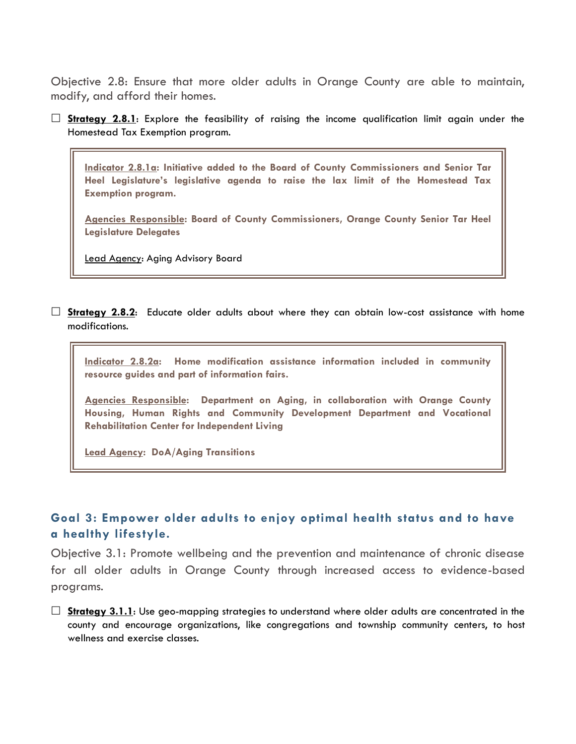Objective 2.8: Ensure that more older adults in Orange County are able to maintain, modify, and afford their homes.

 **Strategy 2.8.1**: Explore the feasibility of raising the income qualification limit again under the Homestead Tax Exemption program.

**Indicator 2.8.1a: Initiative added to the Board of County Commissioners and Senior Tar Heel Legislature's legislative agenda to raise the lax limit of the Homestead Tax Exemption program.**

**Agencies Responsible: Board of County Commissioners, Orange County Senior Tar Heel Legislature Delegates**

Lead Agency: Aging Advisory Board

 **Strategy 2.8.2**: Educate older adults about where they can obtain low-cost assistance with home modifications.

**Indicator 2.8.2a: Home modification assistance information included in community resource guides and part of information fairs.**

**Agencies Responsible: Department on Aging, in collaboration with Orange County Housing, Human Rights and Community Development Department and Vocational Rehabilitation Center for Independent Living**

**Lead Agency: DoA/Aging Transitions**

## **Goal 3: Empower older adults to enjoy optimal health status and to have a healthy lifestyle.**

Objective 3.1: Promote wellbeing and the prevention and maintenance of chronic disease for all older adults in Orange County through increased access to evidence-based programs.

 **Strategy 3.1.1**: Use geo-mapping strategies to understand where older adults are concentrated in the county and encourage organizations, like congregations and township community centers, to host wellness and exercise classes.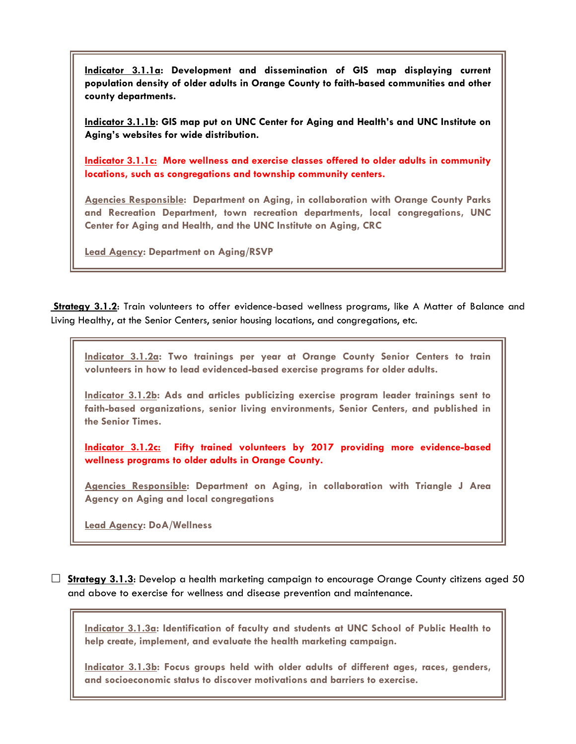**Indicator 3.1.1a: Development and dissemination of GIS map displaying current population density of older adults in Orange County to faith-based communities and other county departments.**

**Indicator 3.1.1b: GIS map put on UNC Center for Aging and Health's and UNC Institute on Aging's websites for wide distribution.**

**Indicator 3.1.1c: More wellness and exercise classes offered to older adults in community locations, such as congregations and township community centers.**

**Agencies Responsible: Department on Aging, in collaboration with Orange County Parks and Recreation Department, town recreation departments, local congregations, UNC Center for Aging and Health, and the UNC Institute on Aging, CRC**

**Lead Agency: Department on Aging/RSVP**

**Strategy 3.1.2**: Train volunteers to offer evidence-based wellness programs, like A Matter of Balance and Living Healthy, at the Senior Centers, senior housing locations, and congregations, etc.

**Indicator 3.1.2a: Two trainings per year at Orange County Senior Centers to train volunteers in how to lead evidenced-based exercise programs for older adults.**

**Indicator 3.1.2b: Ads and articles publicizing exercise program leader trainings sent to faith-based organizations, senior living environments, Senior Centers, and published in the Senior Times.**

**Indicator 3.1.2c: Fifty trained volunteers by 2017 providing more evidence-based wellness programs to older adults in Orange County.**

**Agencies Responsible: Department on Aging, in collaboration with Triangle J Area Agency on Aging and local congregations**

**Lead Agency: DoA/Wellness**

 **Strategy 3.1.3**: Develop a health marketing campaign to encourage Orange County citizens aged 50 and above to exercise for wellness and disease prevention and maintenance.

**Indicator 3.1.3a: Identification of faculty and students at UNC School of Public Health to help create, implement, and evaluate the health marketing campaign.**

**Indicator 3.1.3b: Focus groups held with older adults of different ages, races, genders, and socioeconomic status to discover motivations and barriers to exercise.**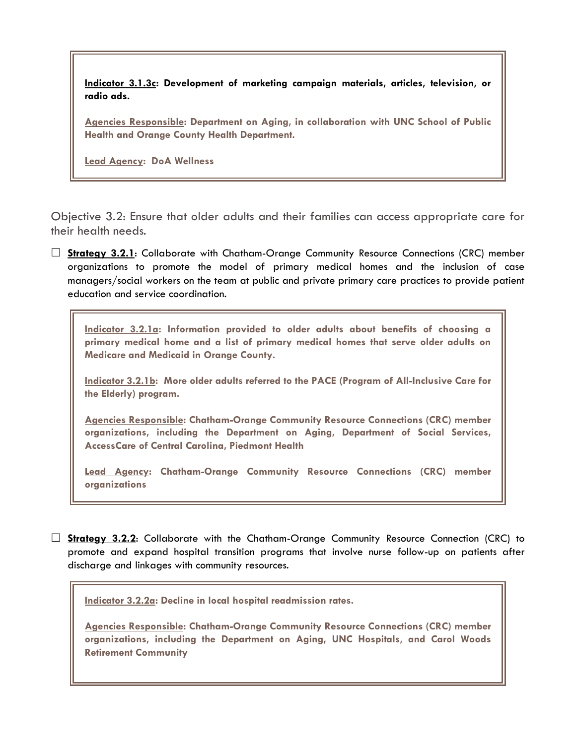**Indicator 3.1.3c: Development of marketing campaign materials, articles, television, or radio ads.**

**Agencies Responsible: Department on Aging, in collaboration with UNC School of Public Health and Orange County Health Department.** 

**Lead Agency: DoA Wellness**

Objective 3.2: Ensure that older adults and their families can access appropriate care for their health needs.

 **Strategy 3.2.1**: Collaborate with Chatham-Orange Community Resource Connections (CRC) member organizations to promote the model of primary medical homes and the inclusion of case managers/social workers on the team at public and private primary care practices to provide patient education and service coordination.

**Indicator 3.2.1a: Information provided to older adults about benefits of choosing a primary medical home and a list of primary medical homes that serve older adults on Medicare and Medicaid in Orange County.**

**Indicator 3.2.1b: More older adults referred to the PACE (Program of All-Inclusive Care for the Elderly) program.**

**Agencies Responsible: Chatham-Orange Community Resource Connections (CRC) member organizations, including the Department on Aging, Department of Social Services, AccessCare of Central Carolina, Piedmont Health** 

**Lead Agency: Chatham-Orange Community Resource Connections (CRC) member organizations**

 **Strategy 3.2.2**: Collaborate with the Chatham-Orange Community Resource Connection (CRC) to promote and expand hospital transition programs that involve nurse follow-up on patients after discharge and linkages with community resources.

**Indicator 3.2.2a: Decline in local hospital readmission rates.**

**Agencies Responsible: Chatham-Orange Community Resource Connections (CRC) member organizations, including the Department on Aging, UNC Hospitals, and Carol Woods Retirement Community**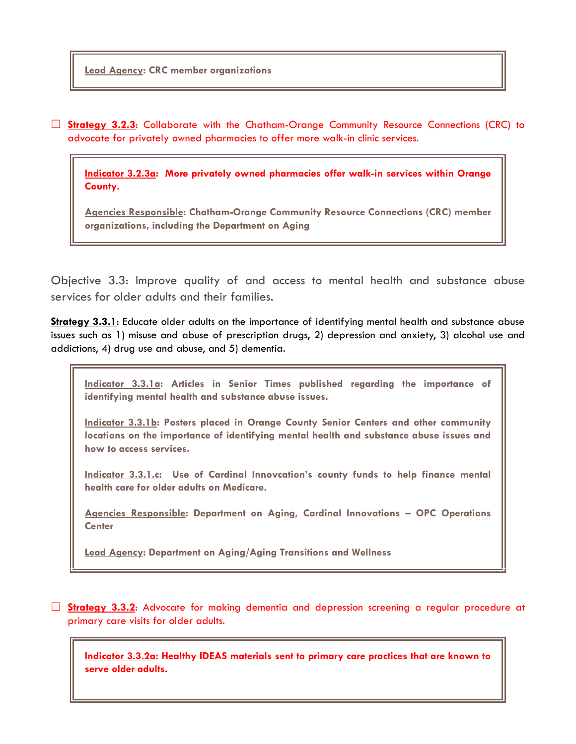**Lead Agency: CRC member organizations**

 **Strategy 3.2.3**: Collaborate with the Chatham-Orange Community Resource Connections (CRC) to advocate for privately owned pharmacies to offer more walk-in clinic services.

**Indicator 3.2.3a: More privately owned pharmacies offer walk-in services within Orange County.**

**Agencies Responsible: Chatham-Orange Community Resource Connections (CRC) member organizations, including the Department on Aging** 

Objective 3.3: Improve quality of and access to mental health and substance abuse services for older adults and their families.

**Strategy 3.3.1**: Educate older adults on the importance of identifying mental health and substance abuse issues such as 1) misuse and abuse of prescription drugs, 2) depression and anxiety, 3) alcohol use and addictions, 4) drug use and abuse, and 5) dementia.

**Indicator 3.3.1a: Articles in Senior Times published regarding the importance of identifying mental health and substance abuse issues.**

**Indicator 3.3.1b: Posters placed in Orange County Senior Centers and other community locations on the importance of identifying mental health and substance abuse issues and how to access services.**

**Indicator 3.3.1.c: Use of Cardinal Innovcation's county funds to help finance mental health care for older adults on Medicare.**

**Agencies Responsible: Department on Aging, Cardinal Innovations – OPC Operations Center**

**Lead Agency: Department on Aging/Aging Transitions and Wellness**

 **Strategy 3.3.2**: Advocate for making dementia and depression screening a regular procedure at primary care visits for older adults.

**Indicator 3.3.2a: Healthy IDEAS materials sent to primary care practices that are known to serve older adults.**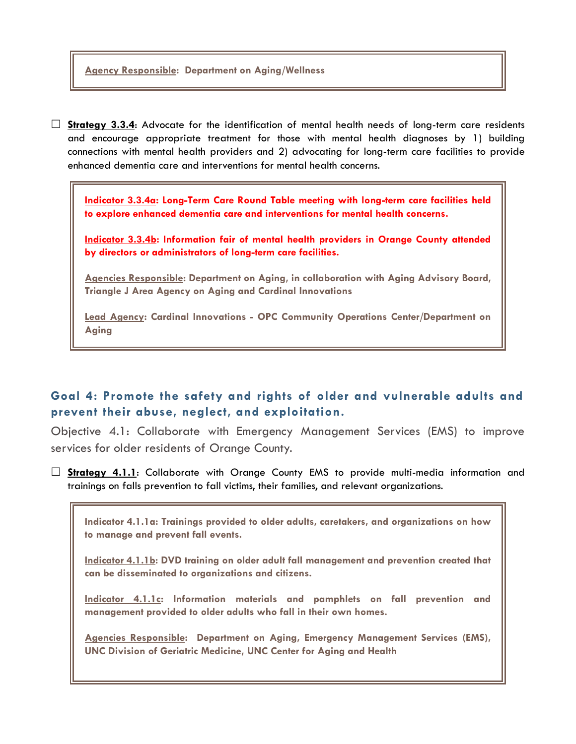**Agency Responsible: Department on Aging/Wellness**

 **Strategy 3.3.4**: Advocate for the identification of mental health needs of long-term care residents and encourage appropriate treatment for those with mental health diagnoses by 1) building connections with mental health providers and 2) advocating for long-term care facilities to provide enhanced dementia care and interventions for mental health concerns.

**Indicator 3.3.4a: Long-Term Care Round Table meeting with long-term care facilities held to explore enhanced dementia care and interventions for mental health concerns.**

**Indicator 3.3.4b: Information fair of mental health providers in Orange County attended by directors or administrators of long-term care facilities.**

**Agencies Responsible: Department on Aging, in collaboration with Aging Advisory Board, Triangle J Area Agency on Aging and Cardinal Innovations**

**Lead Agency: Cardinal Innovations - OPC Community Operations Center/Department on Aging**

## **Goal 4: Promote the safety and rights of older and vulnerable adults and prevent their abuse, neglect, and exploitation.**

Objective 4.1: Collaborate with Emergency Management Services (EMS) to improve services for older residents of Orange County.

 **Strategy 4.1.1**: Collaborate with Orange County EMS to provide multi-media information and trainings on falls prevention to fall victims, their families, and relevant organizations.

**Indicator 4.1.1a: Trainings provided to older adults, caretakers, and organizations on how to manage and prevent fall events.**

**Indicator 4.1.1b: DVD training on older adult fall management and prevention created that can be disseminated to organizations and citizens.**

**Indicator 4.1.1c: Information materials and pamphlets on fall prevention and management provided to older adults who fall in their own homes.**

**Agencies Responsible: Department on Aging, Emergency Management Services (EMS), UNC Division of Geriatric Medicine, UNC Center for Aging and Health**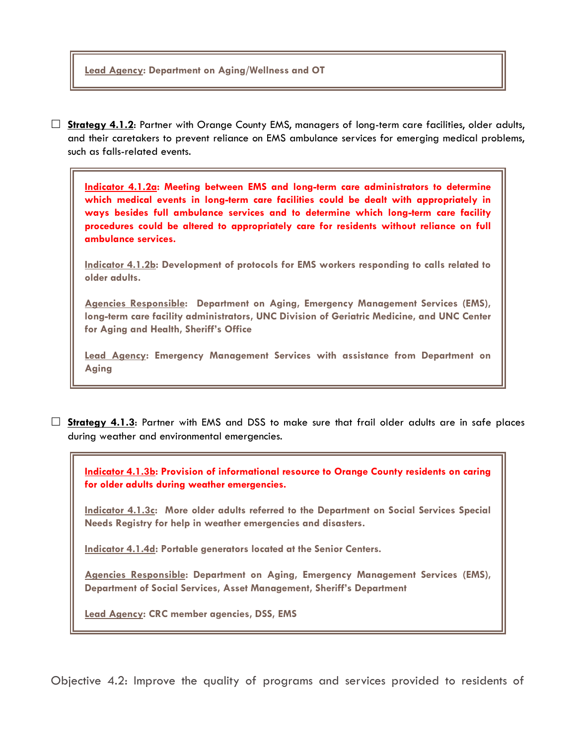#### **Lead Agency: Department on Aging/Wellness and OT**

 **Strategy 4.1.2**: Partner with Orange County EMS, managers of long-term care facilities, older adults, and their caretakers to prevent reliance on EMS ambulance services for emerging medical problems, such as falls-related events.

**Indicator 4.1.2a: Meeting between EMS and long-term care administrators to determine which medical events in long-term care facilities could be dealt with appropriately in ways besides full ambulance services and to determine which long-term care facility procedures could be altered to appropriately care for residents without reliance on full ambulance services.**

**Indicator 4.1.2b: Development of protocols for EMS workers responding to calls related to older adults.**

**Agencies Responsible: Department on Aging, Emergency Management Services (EMS), long-term care facility administrators, UNC Division of Geriatric Medicine, and UNC Center for Aging and Health, Sheriff's Office**

**Lead Agency: Emergency Management Services with assistance from Department on Aging**

 **Strategy 4.1.3**: Partner with EMS and DSS to make sure that frail older adults are in safe places during weather and environmental emergencies.

**Indicator 4.1.3b: Provision of informational resource to Orange County residents on caring for older adults during weather emergencies.** 

**Indicator 4.1.3c: More older adults referred to the Department on Social Services Special Needs Registry for help in weather emergencies and disasters.**

**Indicator 4.1.4d: Portable generators located at the Senior Centers.**

**Agencies Responsible: Department on Aging, Emergency Management Services (EMS), Department of Social Services, Asset Management, Sheriff's Department**

**Lead Agency: CRC member agencies, DSS, EMS**

Objective 4.2: Improve the quality of programs and services provided to residents of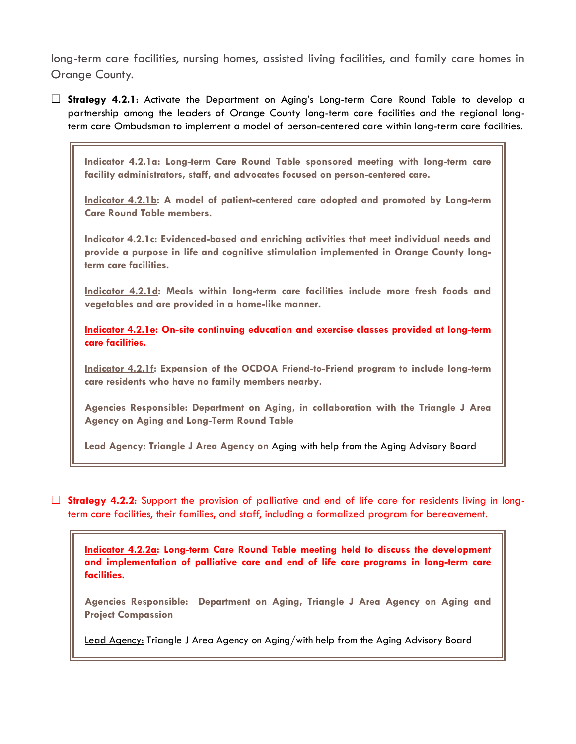long-term care facilities, nursing homes, assisted living facilities, and family care homes in Orange County.

 **Strategy 4.2.1**: Activate the Department on Aging's Long-term Care Round Table to develop a partnership among the leaders of Orange County long-term care facilities and the regional longterm care Ombudsman to implement a model of person-centered care within long-term care facilities.

**Indicator 4.2.1a: Long-term Care Round Table sponsored meeting with long-term care facility administrators, staff, and advocates focused on person-centered care.**

**Indicator 4.2.1b: A model of patient-centered care adopted and promoted by Long-term Care Round Table members.**

**Indicator 4.2.1c: Evidenced-based and enriching activities that meet individual needs and provide a purpose in life and cognitive stimulation implemented in Orange County longterm care facilities.**

**Indicator 4.2.1d: Meals within long-term care facilities include more fresh foods and vegetables and are provided in a home-like manner.**

**Indicator 4.2.1e: On-site continuing education and exercise classes provided at long-term care facilities.**

**Indicator 4.2.1f: Expansion of the OCDOA Friend-to-Friend program to include long-term care residents who have no family members nearby.**

**Agencies Responsible: Department on Aging, in collaboration with the Triangle J Area Agency on Aging and Long-Term Round Table**

**Lead Agency: Triangle J Area Agency on** Aging with help from the Aging Advisory Board

**Strategy 4.2.2:** Support the provision of palliative and end of life care for residents living in longterm care facilities, their families, and staff, including a formalized program for bereavement.

**Indicator 4.2.2a: Long-term Care Round Table meeting held to discuss the development and implementation of palliative care and end of life care programs in long-term care facilities.**

**Agencies Responsible: Department on Aging, Triangle J Area Agency on Aging and Project Compassion**

Lead Agency: Triangle J Area Agency on Aging/with help from the Aging Advisory Board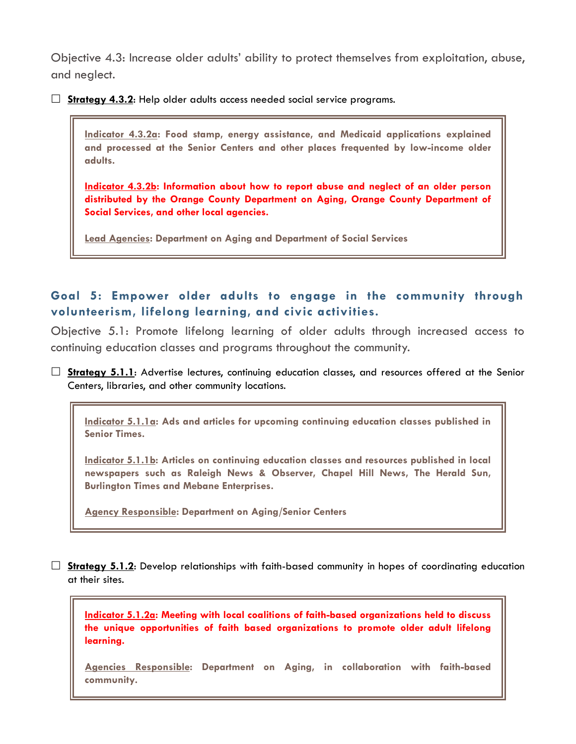Objective 4.3: Increase older adults' ability to protect themselves from exploitation, abuse, and neglect.

**Strategy 4.3.2**: Help older adults access needed social service programs.

**Indicator 4.3.2a: Food stamp, energy assistance, and Medicaid applications explained and processed at the Senior Centers and other places frequented by low-income older adults.**

**Indicator 4.3.2b: Information about how to report abuse and neglect of an older person distributed by the Orange County Department on Aging, Orange County Department of Social Services, and other local agencies.**

**Lead Agencies: Department on Aging and Department of Social Services**

## **Goal 5: Empower older adults to engage in the community through volunteerism, lifelong learning, and civic activities.**

Objective 5.1: Promote lifelong learning of older adults through increased access to continuing education classes and programs throughout the community.

□ **Strategy 5.1.1**: Advertise lectures, continuing education classes, and resources offered at the Senior Centers, libraries, and other community locations.

**Indicator 5.1.1a: Ads and articles for upcoming continuing education classes published in Senior Times.**

**Indicator 5.1.1b: Articles on continuing education classes and resources published in local newspapers such as Raleigh News & Observer, Chapel Hill News, The Herald Sun, Burlington Times and Mebane Enterprises.**

**Agency Responsible: Department on Aging/Senior Centers**

 **Strategy 5.1.2**: Develop relationships with faith-based community in hopes of coordinating education at their sites.

**Indicator 5.1.2a: Meeting with local coalitions of faith-based organizations held to discuss the unique opportunities of faith based organizations to promote older adult lifelong learning.**

**Agencies Responsible: Department on Aging, in collaboration with faith-based community.**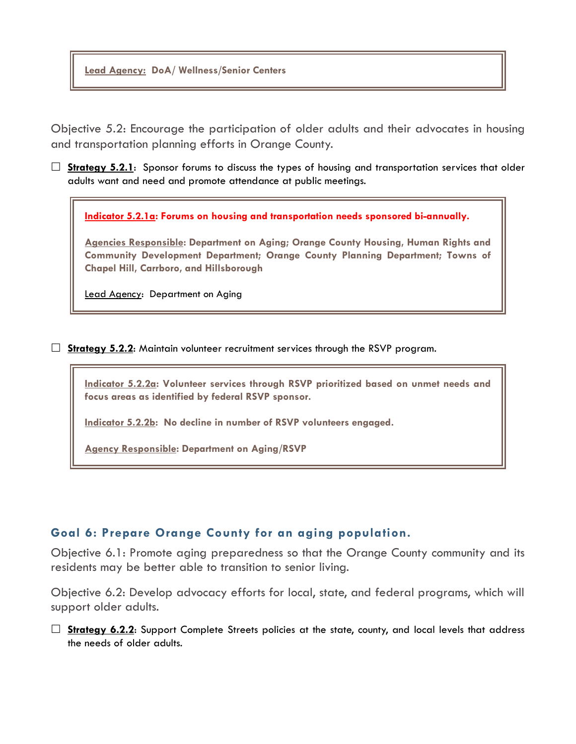**Lead Agency: DoA/ Wellness/Senior Centers**

Objective 5.2: Encourage the participation of older adults and their advocates in housing and transportation planning efforts in Orange County.

□ **Strategy 5.2.1**: Sponsor forums to discuss the types of housing and transportation services that older adults want and need and promote attendance at public meetings.

**Indicator 5.2.1a: Forums on housing and transportation needs sponsored bi-annually.** 

**Agencies Responsible: Department on Aging; Orange County Housing, Human Rights and Community Development Department; Orange County Planning Department; Towns of Chapel Hill, Carrboro, and Hillsborough**

Lead Agency: Department on Aging

**Strategy 5.2.2:** Maintain volunteer recruitment services through the RSVP program.

**Indicator 5.2.2a: Volunteer services through RSVP prioritized based on unmet needs and focus areas as identified by federal RSVP sponsor.**

**Indicator 5.2.2b: No decline in number of RSVP volunteers engaged.**

**Agency Responsible: Department on Aging/RSVP**

### **Goal 6: Prepare Orange County for an aging population.**

Objective 6.1: Promote aging preparedness so that the Orange County community and its residents may be better able to transition to senior living.

Objective 6.2: Develop advocacy efforts for local, state, and federal programs, which will support older adults.

□ Strategy 6.2.2: Support Complete Streets policies at the state, county, and local levels that address the needs of older adults.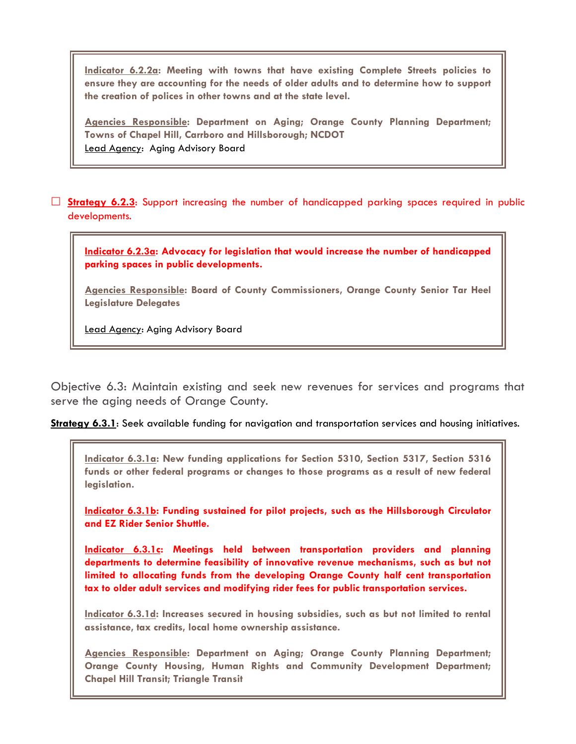**Indicator 6.2.2a: Meeting with towns that have existing Complete Streets policies to ensure they are accounting for the needs of older adults and to determine how to support the creation of polices in other towns and at the state level.** 

**Agencies Responsible: Department on Aging; Orange County Planning Department; Towns of Chapel Hill, Carrboro and Hillsborough; NCDOT** Lead Agency: Aging Advisory Board

 **Strategy 6.2.3**: Support increasing the number of handicapped parking spaces required in public developments.

**Indicator 6.2.3a: Advocacy for legislation that would increase the number of handicapped parking spaces in public developments.**

**Agencies Responsible: Board of County Commissioners, Orange County Senior Tar Heel Legislature Delegates**

Lead Agency: Aging Advisory Board

Objective 6.3: Maintain existing and seek new revenues for services and programs that serve the aging needs of Orange County.

**Strategy 6.3.1**: Seek available funding for navigation and transportation services and housing initiatives.

**Indicator 6.3.1a: New funding applications for Section 5310, Section 5317, Section 5316 funds or other federal programs or changes to those programs as a result of new federal legislation.** 

**Indicator 6.3.1b: Funding sustained for pilot projects, such as the Hillsborough Circulator and EZ Rider Senior Shuttle.** 

**Indicator 6.3.1c: Meetings held between transportation providers and planning departments to determine feasibility of innovative revenue mechanisms, such as but not limited to allocating funds from the developing Orange County half cent transportation tax to older adult services and modifying rider fees for public transportation services.** 

**Indicator 6.3.1d: Increases secured in housing subsidies, such as but not limited to rental assistance, tax credits, local home ownership assistance.**

**Agencies Responsible: Department on Aging; Orange County Planning Department; Orange County Housing, Human Rights and Community Development Department; Chapel Hill Transit; Triangle Transit**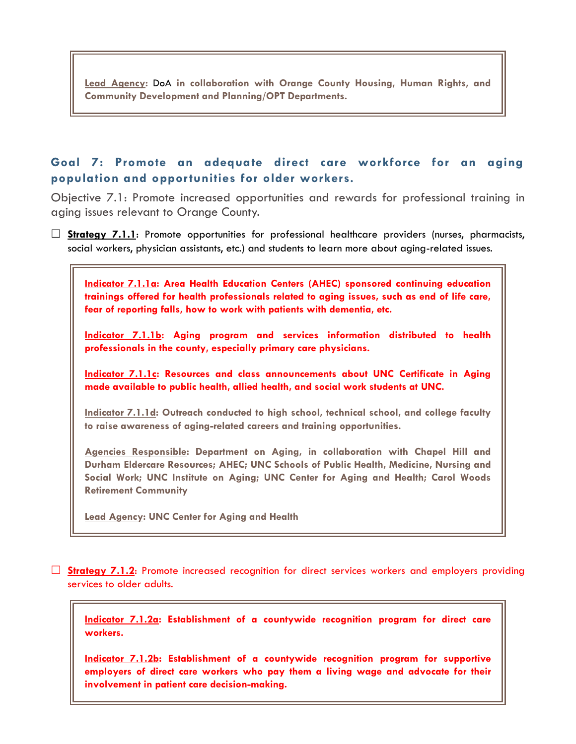**Lead Agency:** DoA **in collaboration with Orange County Housing, Human Rights, and Community Development and Planning/OPT Departments.**

## **Goal 7: Promote an adequate direct care workforce for an aging population and opportunities for older workers.**

Objective 7.1: Promote increased opportunities and rewards for professional training in aging issues relevant to Orange County.

 **Strategy 7.1.1**: Promote opportunities for professional healthcare providers (nurses, pharmacists, social workers, physician assistants, etc.) and students to learn more about aging-related issues.



**Agencies Responsible: Department on Aging, in collaboration with Chapel Hill and Durham Eldercare Resources; AHEC; UNC Schools of Public Health, Medicine, Nursing and Social Work; UNC Institute on Aging; UNC Center for Aging and Health; Carol Woods Retirement Community**

**Lead Agency: UNC Center for Aging and Health**

 **Strategy 7.1.2**: Promote increased recognition for direct services workers and employers providing services to older adults.

**Indicator 7.1.2a: Establishment of a countywide recognition program for direct care workers.**

**Indicator 7.1.2b: Establishment of a countywide recognition program for supportive employers of direct care workers who pay them a living wage and advocate for their involvement in patient care decision-making.**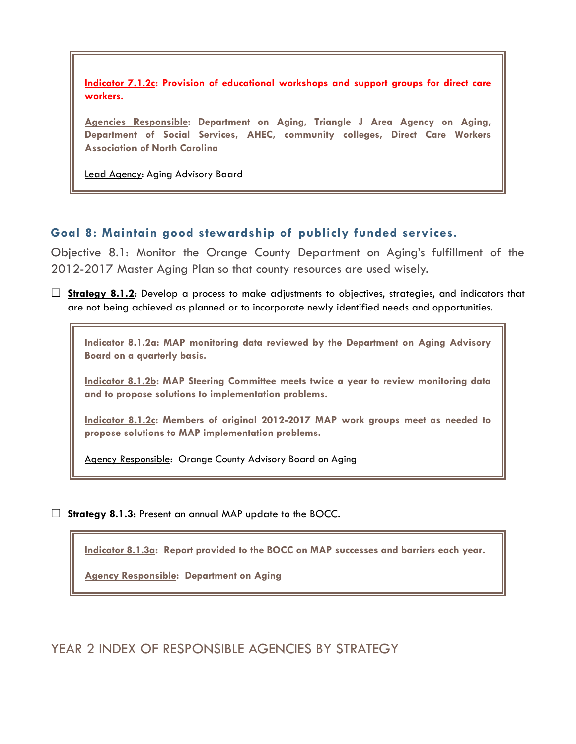**Indicator 7.1.2c: Provision of educational workshops and support groups for direct care workers.**

**Agencies Responsible: Department on Aging, Triangle J Area Agency on Aging, Department of Social Services, AHEC, community colleges, Direct Care Workers Association of North Carolina**

Lead Agency: Aging Advisory Baard

### **Goal 8: Maintain good stewardship of publicly funded services.**

Objective 8.1: Monitor the Orange County Department on Aging's fulfillment of the 2012-2017 Master Aging Plan so that county resources are used wisely.

 **Strategy 8.1.2**: Develop a process to make adjustments to objectives, strategies, and indicators that are not being achieved as planned or to incorporate newly identified needs and opportunities.

**Indicator 8.1.2a: MAP monitoring data reviewed by the Department on Aging Advisory Board on a quarterly basis.** 

**Indicator 8.1.2b: MAP Steering Committee meets twice a year to review monitoring data and to propose solutions to implementation problems.**

**Indicator 8.1.2c: Members of original 2012-2017 MAP work groups meet as needed to propose solutions to MAP implementation problems.**

Agency Responsible: Orange County Advisory Board on Aging

**Strategy 8.1.3:** Present an annual MAP update to the BOCC.

**Indicator 8.1.3a: Report provided to the BOCC on MAP successes and barriers each year.**

**Agency Responsible: Department on Aging**

YEAR 2 INDEX OF RESPONSIBLE AGENCIES BY STRATEGY